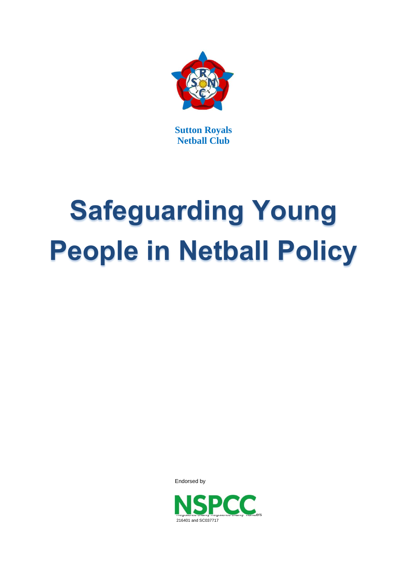

**Sutton Royals Netball Club**

# **Safeguarding Young People in Netball Policy**

Endorsed by

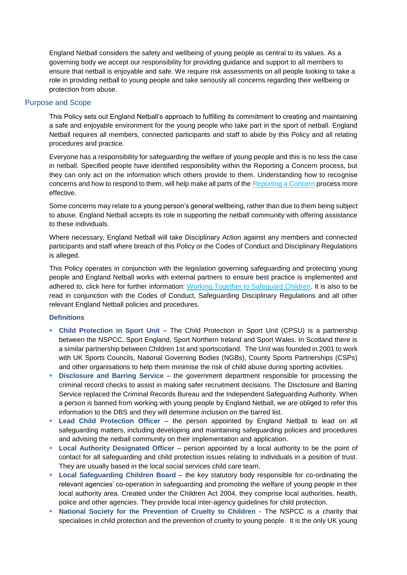England Netball considers the safety and wellbeing of young people as central to its values. As a governing body we accept our responsibility for providing guidance and support to all members to ensure that netball is enjoyable and safe. We require risk assessments on all people looking to take a role in providing netball to young people and take seriously all concerns regarding their wellbeing or protection from abuse.

# Purpose and Scope

This Policy sets out England Netball's approach to fulfilling its commitment to creating and maintaining a safe and enjoyable environment for the young people who take part in the sport of netball. England Netball requires all members, connected participants and staff to abide by this Policy and all relating procedures and practice.

Everyone has a responsibility for safeguarding the welfare of young people and this is no less the case in netball. Specified people have identified responsibility within the Reporting a Concern process, but they can only act on the information which others provide to them. Understanding how to recognise concerns and how to respond to them, will help make all parts of the [Reporting a Concern](file://///fileserver2k8/mainstore/Commercial/Olivia/ENjoy,%20ENsure,%20ENtrust/ENjoy_ENsure_Entrust/Safeguarding/Reporting%20a%20Concern%20Procedure.docx) process more effective.

Some concerns may relate to a young person's general wellbeing, rather than due to them being subject to abuse. England Netball accepts its role in supporting the netball community with offering assistance to these individuals.

Where necessary, England Netball will take Disciplinary Action against any members and connected participants and staff where breach of this Policy or the Codes of Conduct and Disciplinary Regulations is alleged.

This Policy operates in conjunction with the legislation governing safeguarding and protecting young people and England Netball works with external partners to ensure best practice is implemented and adhered to, click here for further information: [Working Together to Safeguard Children.](http://www.workingtogetheronline.co.uk/index.html) It is also to be read in conjunction with the Codes of Conduct, Safeguarding Disciplinary Regulations and all other relevant England Netball policies and procedures.

# **Definitions**

- **Child Protection in Sport Unit** The Child Protection in Sport Unit (CPSU) is a partnership between the NSPCC, Sport England, Sport Northern Ireland and Sport Wales. In Scotland there is a similar partnership between Children 1st and sportscotland. The Unit was founded in 2001 to work with UK Sports Councils, National Governing Bodies (NGBs), County Sports Partnerships (CSPs) and other organisations to help them minimise the risk of child abuse during sporting activities.
- **Disclosure and Barring Service** the government department responsible for processing the criminal record checks to assist in making safer recruitment decisions. The Disclosure and Barring Service replaced the Criminal Records Bureau and the Independent Safeguarding Authority. When a person is banned from working with young people by England Netball, we are obliged to refer this information to the DBS and they will determine inclusion on the barred list.
- **Lead Child Protection Officer** the person appointed by England Netball to lead on all safeguarding matters, including developing and maintaining safeguarding policies and procedures and advising the netball community on their implementation and application.
- **Local Authority Designated Officer** person appointed by a local authority to be the point of contact for all safeguarding and child protection issues relating to individuals in a position of trust. They are usually based in the local social services child care team.
- **Local Safeguarding Children Board** the key statutory body responsible for co-ordinating the relevant agencies' co-operation in safeguarding and promoting the welfare of young people in their local authority area. Created under the Children Act 2004, they comprise local authorities, health, police and other agencies. They provide local inter-agency guidelines for child protection.
- **National Society for the Prevention of Cruelty to Children** The NSPCC is a charity that specialises in child protection and the prevention of cruelty to young people. It is the only UK young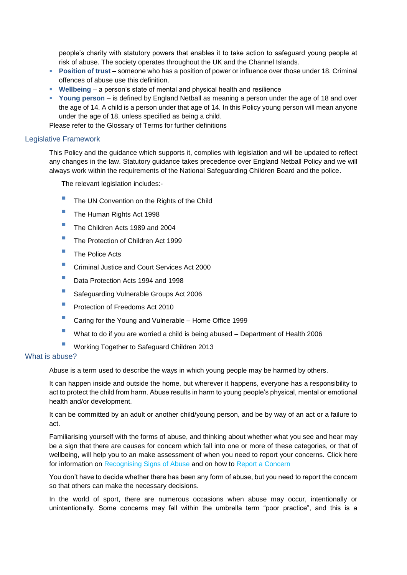people's charity with statutory powers that enables it to take action to safeguard young people at risk of abuse. The society operates throughout the UK and the Channel Islands.

- **Position of trust** someone who has a position of power or influence over those under 18. Criminal offences of abuse use this definition.
- **Wellbeing** a person's state of mental and physical health and resilience
- **Young person** is defined by England Netball as meaning a person under the age of 18 and over the age of 14. A child is a person under that age of 14. In this Policy young person will mean anyone under the age of 18, unless specified as being a child.

Please refer to the Glossary of Terms for further definitions

#### Legislative Framework

This Policy and the guidance which supports it, complies with legislation and will be updated to reflect any changes in the law. Statutory guidance takes precedence over England Netball Policy and we will always work within the requirements of the National Safeguarding Children Board and the police.

The relevant legislation includes:-

- The UN Convention on the Rights of the Child
- The Human Rights Act 1998
- The Children Acts 1989 and 2004
- The Protection of Children Act 1999
- **The Police Acts**
- **Criminal Justice and Court Services Act 2000**
- Data Protection Acts 1994 and 1998
- **Safeguarding Vulnerable Groups Act 2006**
- **Protection of Freedoms Act 2010**
- Caring for the Young and Vulnerable Home Office 1999
- What to do if you are worried a child is being abused Department of Health 2006
- **Working Together to Safeguard Children 2013**

# What is abuse?

Abuse is a term used to describe the ways in which young people may be harmed by others.

It can happen inside and outside the home, but wherever it happens, everyone has a responsibility to act to protect the child from harm. Abuse results in harm to young people's physical, mental or emotional health and/or development.

It can be committed by an adult or another child/young person, and be by way of an act or a failure to act.

Familiarising yourself with the forms of abuse, and thinking about whether what you see and hear may be a sign that there are causes for concern which fall into one or more of these categories, or that of wellbeing, will help you to an make assessment of when you need to report your concerns. Click here for information on [Recognising Signs of Abuse](file://///fileserver2k8/mainstore/Commercial/Olivia/ENjoy,%20ENsure,%20ENtrust/ENjoy_ENsure_Entrust/Safeguarding/Recognising%20Signs%20of%20Abuse.pdf) and on how to [Report a Concern](file:///C:/Users/alex.sexton/AppData/Local/Microsoft/Windows/INetCache/Content.Outlook/3L5HCOGN/Reporting%20a%20Concern%20Procedure.docx)

You don't have to decide whether there has been any form of abuse, but you need to report the concern so that others can make the necessary decisions.

In the world of sport, there are numerous occasions when abuse may occur, intentionally or unintentionally. Some concerns may fall within the umbrella term "poor practice", and this is a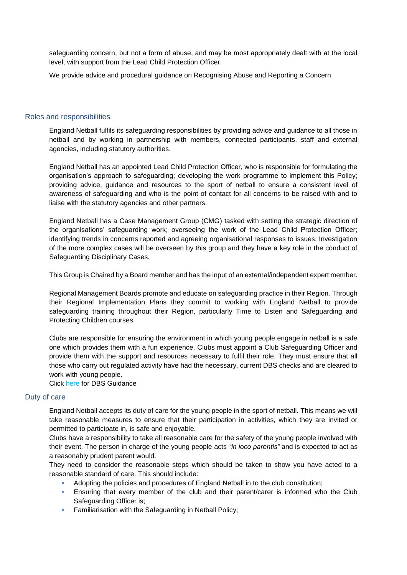safeguarding concern, but not a form of abuse, and may be most appropriately dealt with at the local level, with support from the Lead Child Protection Officer.

We provide advice and procedural guidance on Recognising Abuse and Reporting a Concern

#### Roles and responsibilities

England Netball fulfils its safeguarding responsibilities by providing advice and guidance to all those in netball and by working in partnership with members, connected participants, staff and external agencies, including statutory authorities.

England Netball has an appointed Lead Child Protection Officer, who is responsible for formulating the organisation's approach to safeguarding; developing the work programme to implement this Policy; providing advice, guidance and resources to the sport of netball to ensure a consistent level of awareness of safeguarding and who is the point of contact for all concerns to be raised with and to liaise with the statutory agencies and other partners.

England Netball has a Case Management Group (CMG) tasked with setting the strategic direction of the organisations' safeguarding work; overseeing the work of the Lead Child Protection Officer; identifying trends in concerns reported and agreeing organisational responses to issues. Investigation of the more complex cases will be overseen by this group and they have a key role in the conduct of Safeguarding Disciplinary Cases.

This Group is Chaired by a Board member and has the input of an external/independent expert member.

Regional Management Boards promote and educate on safeguarding practice in their Region. Through their Regional Implementation Plans they commit to working with England Netball to provide safeguarding training throughout their Region, particularly Time to Listen and Safeguarding and Protecting Children courses.

Clubs are responsible for ensuring the environment in which young people engage in netball is a safe one which provides them with a fun experience. Clubs must appoint a Club Safeguarding Officer and provide them with the support and resources necessary to fulfil their role. They must ensure that all those who carry out regulated activity have had the necessary, current DBS checks and are cleared to work with young people.

Click [here](http://www.englandnetball.co.uk/make-the-game/ENjoy_ENsure_ENtrust/Safeguarding/DBS) for DBS Guidance

#### Duty of care

England Netball accepts its duty of care for the young people in the sport of netball. This means we will take reasonable measures to ensure that their participation in activities, which they are invited or permitted to participate in, is safe and enjoyable.

Clubs have a responsibility to take all reasonable care for the safety of the young people involved with their event. The person in charge of the young people acts *"in loco parentis"* and is expected to act as a reasonably prudent parent would.

They need to consider the reasonable steps which should be taken to show you have acted to a reasonable standard of care. This should include:

- Adopting the policies and procedures of England Netball in to the club constitution;
- Ensuring that every member of the club and their parent/carer is informed who the Club Safeguarding Officer is;
- **Familiarisation with the Safeguarding in Netball Policy;**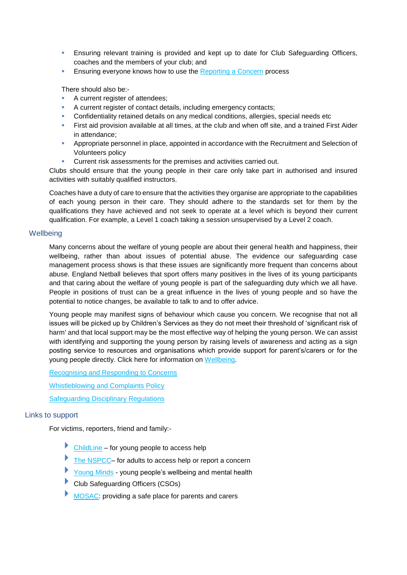- **Ensuring relevant training is provided and kept up to date for Club Safeguarding Officers,** coaches and the members of your club; and
- **Ensuring everyone knows how to use the [Reporting a Concern](file:///C:/Users/alex.sexton/AppData/Local/Microsoft/Windows/INetCache/Content.Outlook/3L5HCOGN/Reporting%20a%20Concern%20Procedure.docx) process**

There should also be:-

- A current register of attendees;
- A current register of contact details, including emergency contacts;
- Confidentiality retained details on any medical conditions, allergies, special needs etc
- First aid provision available at all times, at the club and when off site, and a trained First Aider in attendance;
- **Appropriate personnel in place, appointed in accordance with the Recruitment and Selection of** Volunteers policy
- Current risk assessments for the premises and activities carried out.

Clubs should ensure that the young people in their care only take part in authorised and insured activities with suitably qualified instructors.

Coaches have a duty of care to ensure that the activities they organise are appropriate to the capabilities of each young person in their care. They should adhere to the standards set for them by the qualifications they have achieved and not seek to operate at a level which is beyond their current qualification. For example, a Level 1 coach taking a session unsupervised by a Level 2 coach.

#### **Wellbeing**

Many concerns about the welfare of young people are about their general health and happiness, their wellbeing, rather than about issues of potential abuse. The evidence our safeguarding case management process shows is that these issues are significantly more frequent than concerns about abuse. England Netball believes that sport offers many positives in the lives of its young participants and that caring about the welfare of young people is part of the safeguarding duty which we all have. People in positions of trust can be a great influence in the lives of young people and so have the potential to notice changes, be available to talk to and to offer advice.

Young people may manifest signs of behaviour which cause you concern. We recognise that not all issues will be picked up by Children's Services as they do not meet their threshold of 'significant risk of harm' and that local support may be the most effective way of helping the young person. We can assist with identifying and supporting the young person by raising levels of awareness and acting as a sign posting service to resources and organisations which provide support for parent's/carers or for the young people directly. Click here for information on [Wellbeing.](http://www.englandnetball.co.uk/make-the-game/ENjoy_ENsure_ENtrust/Safeguarding/Wellbeing)

[Recognising and Responding to Concerns](file://///fileserver2k8/mainstore/Commercial/Olivia/ENjoy,%20ENsure,%20ENtrust/ENjoy_ENsure_Entrust/Safeguarding/Reporting%20a%20Concern%20Procedure.docx)

[Whistleblowing and Complaints Policy](file://///fileserver2k8/mainstore/Commercial/Olivia/ENjoy,%20ENsure,%20ENtrust/ENjoy_ENsure_Entrust/Safeguarding/Whistleblowing%20Policy%202.pdf)

[Safeguarding Disciplinary Regulations](file:///C:/Users/alex.sexton/AppData/Local/Microsoft/Windows/INetCache/Content.Outlook/3L5HCOGN/Safeguarding%20Disciplinary%20Regulations%20July%202015.docx) 

# Links to support

For victims, reporters, friend and family:-

- [ChildLine](http://www.childline.org.uk/Pages/Home.aspx) for young people to access help
- [The NSPCC–](http://www.nspcc.org.uk/) for adults to access help or report a concern
- [Young Minds](http://www.youngminds.org.uk/for_children_young_people) young people's wellbeing and mental health
- Club Safeguarding Officers (CSOs)
- [MOSAC:](http://www.mosac.org.uk/about-us) providing a safe place for parents and carers